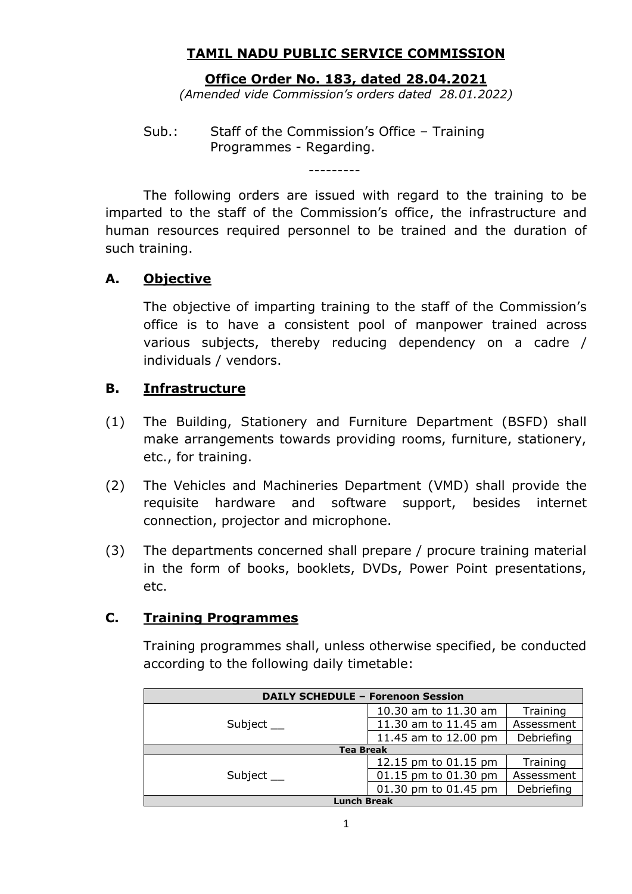## **TAMIL NADU PUBLIC SERVICE COMMISSION**

#### **Office Order No. 183, dated 28.04.2021**

*(Amended vide Commission's orders dated 28.01.2022)*

Sub.: Staff of the Commission's Office – Training Programmes - Regarding.

The following orders are issued with regard to the training to be imparted to the staff of the Commission's office, the infrastructure and human resources required personnel to be trained and the duration of such training.

---------

#### **A. Objective**

The objective of imparting training to the staff of the Commission's office is to have a consistent pool of manpower trained across various subjects, thereby reducing dependency on a cadre / individuals / vendors.

#### **B. Infrastructure**

- (1) The Building, Stationery and Furniture Department (BSFD) shall make arrangements towards providing rooms, furniture, stationery, etc., for training.
- (2) The Vehicles and Machineries Department (VMD) shall provide the requisite hardware and software support, besides internet connection, projector and microphone.
- (3) The departments concerned shall prepare / procure training material in the form of books, booklets, DVDs, Power Point presentations, etc.

#### **C. Training Programmes**

Training programmes shall, unless otherwise specified, be conducted according to the following daily timetable:

| <b>DAILY SCHEDULE - Forenoon Session</b> |                      |            |
|------------------------------------------|----------------------|------------|
| Subject $\_\_$                           | 10.30 am to 11.30 am | Training   |
|                                          | 11.30 am to 11.45 am | Assessment |
|                                          | 11.45 am to 12.00 pm | Debriefing |
| <b>Tea Break</b>                         |                      |            |
|                                          | 12.15 pm to 01.15 pm | Training   |
| Subject                                  | 01.15 pm to 01.30 pm | Assessment |
|                                          | 01.30 pm to 01.45 pm | Debriefing |
| <b>Lunch Break</b>                       |                      |            |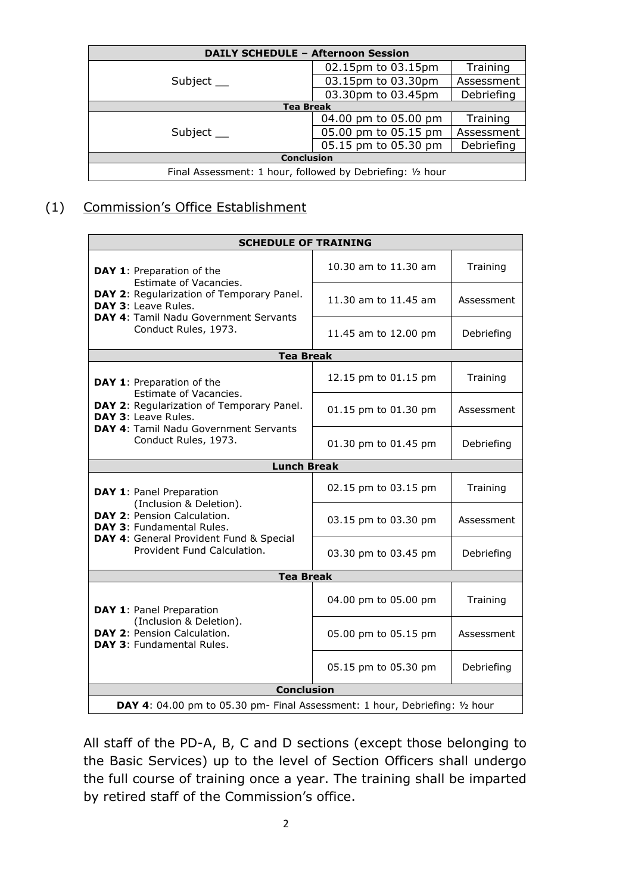| <b>DAILY SCHEDULE - Afternoon Session</b>                  |                      |            |
|------------------------------------------------------------|----------------------|------------|
|                                                            | 02.15pm to 03.15pm   | Training   |
| Subject __                                                 | 03.15pm to 03.30pm   | Assessment |
|                                                            | 03.30pm to 03.45pm   | Debriefing |
| <b>Tea Break</b>                                           |                      |            |
|                                                            | 04.00 pm to 05.00 pm | Training   |
| Subject $\_\_$                                             | 05.00 pm to 05.15 pm | Assessment |
|                                                            | 05.15 pm to 05.30 pm | Debriefing |
| <b>Conclusion</b>                                          |                      |            |
| Final Assessment: 1 hour, followed by Debriefing: 1/2 hour |                      |            |

## (1) Commission's Office Establishment

| <b>SCHEDULE OF TRAINING</b>                                                                               |                      |            |
|-----------------------------------------------------------------------------------------------------------|----------------------|------------|
| DAY 1: Preparation of the<br>Estimate of Vacancies.                                                       | 10.30 am to 11.30 am | Training   |
| DAY 2: Regularization of Temporary Panel.<br>DAY 3: Leave Rules.<br>DAY 4: Tamil Nadu Government Servants | 11.30 am to 11.45 am | Assessment |
| Conduct Rules, 1973.                                                                                      | 11.45 am to 12.00 pm | Debriefing |
| <b>Tea Break</b>                                                                                          |                      |            |
| <b>DAY 1: Preparation of the</b>                                                                          | 12.15 pm to 01.15 pm | Training   |
| Estimate of Vacancies.<br>DAY 2: Regularization of Temporary Panel.<br>DAY 3: Leave Rules.                | 01.15 pm to 01.30 pm | Assessment |
| DAY 4: Tamil Nadu Government Servants<br>Conduct Rules, 1973.                                             | 01.30 pm to 01.45 pm | Debriefing |
| <b>Lunch Break</b>                                                                                        |                      |            |
| DAY 1: Panel Preparation                                                                                  | 02.15 pm to 03.15 pm | Training   |
| (Inclusion & Deletion).<br>DAY 2: Pension Calculation.<br>DAY 3: Fundamental Rules.                       | 03.15 pm to 03.30 pm | Assessment |
| DAY 4: General Provident Fund & Special<br>Provident Fund Calculation.                                    | 03.30 pm to 03.45 pm | Debriefing |
| <b>Tea Break</b>                                                                                          |                      |            |
| DAY 1: Panel Preparation                                                                                  | 04.00 pm to 05.00 pm | Training   |
| (Inclusion & Deletion).<br>DAY 2: Pension Calculation.<br><b>DAY 3: Fundamental Rules.</b>                | 05.00 pm to 05.15 pm | Assessment |
|                                                                                                           | 05.15 pm to 05.30 pm | Debriefing |
| <b>Conclusion</b>                                                                                         |                      |            |
| <b>DAY 4:</b> 04.00 pm to 05.30 pm- Final Assessment: 1 hour, Debriefing: $1/2$ hour                      |                      |            |

All staff of the PD-A, B, C and D sections (except those belonging to the Basic Services) up to the level of Section Officers shall undergo the full course of training once a year. The training shall be imparted by retired staff of the Commission's office.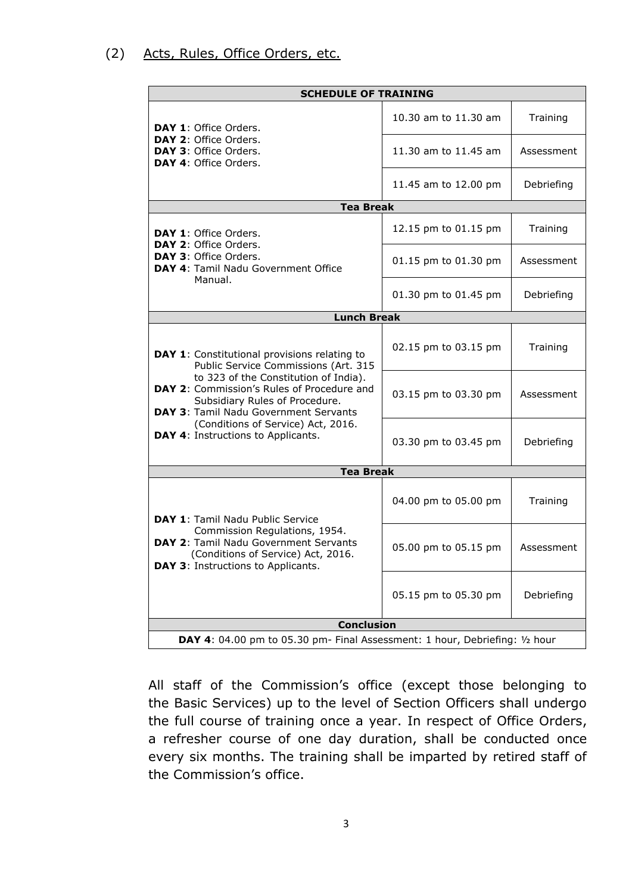#### (2) Acts, Rules, Office Orders, etc.

| <b>SCHEDULE OF TRAINING</b>                                                                                                                                                                                                                            |                      |            |
|--------------------------------------------------------------------------------------------------------------------------------------------------------------------------------------------------------------------------------------------------------|----------------------|------------|
| DAY 1: Office Orders.                                                                                                                                                                                                                                  | 10.30 am to 11.30 am | Training   |
| DAY 2: Office Orders.<br><b>DAY 3: Office Orders.</b><br>DAY 4: Office Orders.                                                                                                                                                                         | 11.30 am to 11.45 am | Assessment |
|                                                                                                                                                                                                                                                        | 11.45 am to 12.00 pm | Debriefing |
| <b>Tea Break</b>                                                                                                                                                                                                                                       |                      |            |
| <b>DAY 1: Office Orders.</b>                                                                                                                                                                                                                           | 12.15 pm to 01.15 pm | Training   |
| DAY 2: Office Orders.<br>DAY 3: Office Orders.<br>DAY 4: Tamil Nadu Government Office                                                                                                                                                                  | 01.15 pm to 01.30 pm | Assessment |
| Manual.                                                                                                                                                                                                                                                | 01.30 pm to 01.45 pm | Debriefing |
| <b>Lunch Break</b>                                                                                                                                                                                                                                     |                      |            |
| DAY 1: Constitutional provisions relating to<br>Public Service Commissions (Art. 315<br>to 323 of the Constitution of India).<br>DAY 2: Commission's Rules of Procedure and<br>Subsidiary Rules of Procedure.<br>DAY 3: Tamil Nadu Government Servants | 02.15 pm to 03.15 pm | Training   |
|                                                                                                                                                                                                                                                        | 03.15 pm to 03.30 pm | Assessment |
| (Conditions of Service) Act, 2016.<br><b>DAY 4: Instructions to Applicants.</b>                                                                                                                                                                        | 03.30 pm to 03.45 pm | Debriefing |
| <b>Tea Break</b>                                                                                                                                                                                                                                       |                      |            |
| DAY 1: Tamil Nadu Public Service                                                                                                                                                                                                                       | 04.00 pm to 05.00 pm | Training   |
| Commission Regulations, 1954.<br>DAY 2: Tamil Nadu Government Servants<br>(Conditions of Service) Act, 2016.<br>DAY 3: Instructions to Applicants.                                                                                                     | 05.00 pm to 05.15 pm | Assessment |
|                                                                                                                                                                                                                                                        | 05.15 pm to 05.30 pm | Debriefing |
| <b>Conclusion</b>                                                                                                                                                                                                                                      |                      |            |
| DAY 4: 04.00 pm to 05.30 pm- Final Assessment: 1 hour, Debriefing: 1/2 hour                                                                                                                                                                            |                      |            |

All staff of the Commission's office (except those belonging to the Basic Services) up to the level of Section Officers shall undergo the full course of training once a year. In respect of Office Orders, a refresher course of one day duration, shall be conducted once every six months. The training shall be imparted by retired staff of the Commission's office.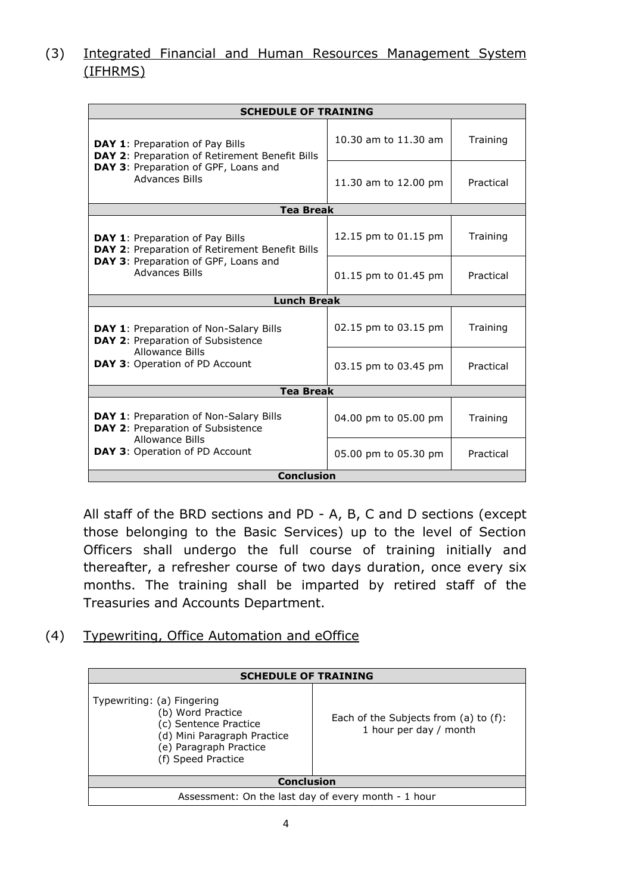## (3) Integrated Financial and Human Resources Management System (IFHRMS)

| <b>SCHEDULE OF TRAINING</b>                                                                                                                        |                      |           |
|----------------------------------------------------------------------------------------------------------------------------------------------------|----------------------|-----------|
| DAY 1: Preparation of Pay Bills<br>DAY 2: Preparation of Retirement Benefit Bills<br>DAY 3: Preparation of GPF, Loans and<br><b>Advances Bills</b> | 10.30 am to 11.30 am | Training  |
|                                                                                                                                                    | 11.30 am to 12.00 pm | Practical |
| <b>Tea Break</b>                                                                                                                                   |                      |           |
| <b>DAY 1: Preparation of Pay Bills</b><br>DAY 2: Preparation of Retirement Benefit Bills                                                           | 12.15 pm to 01.15 pm | Training  |
| DAY 3: Preparation of GPF, Loans and<br><b>Advances Bills</b>                                                                                      | 01.15 pm to 01.45 pm | Practical |
| <b>Lunch Break</b>                                                                                                                                 |                      |           |
| DAY 1: Preparation of Non-Salary Bills<br>DAY 2: Preparation of Subsistence<br>Allowance Bills<br>DAY 3: Operation of PD Account                   | 02.15 pm to 03.15 pm | Training  |
|                                                                                                                                                    | 03.15 pm to 03.45 pm | Practical |
| <b>Tea Break</b>                                                                                                                                   |                      |           |
| <b>DAY 1: Preparation of Non-Salary Bills</b><br>DAY 2: Preparation of Subsistence<br>Allowance Bills                                              | 04.00 pm to 05.00 pm | Training  |
| <b>DAY 3: Operation of PD Account</b>                                                                                                              | 05.00 pm to 05.30 pm | Practical |
| <b>Conclusion</b>                                                                                                                                  |                      |           |

All staff of the BRD sections and PD - A, B, C and D sections (except those belonging to the Basic Services) up to the level of Section Officers shall undergo the full course of training initially and thereafter, a refresher course of two days duration, once every six months. The training shall be imparted by retired staff of the Treasuries and Accounts Department.

(4) Typewriting, Office Automation and eOffice

| <b>SCHEDULE OF TRAINING</b>                                                                                                                             |                                                                      |
|---------------------------------------------------------------------------------------------------------------------------------------------------------|----------------------------------------------------------------------|
| Typewriting: (a) Fingering<br>(b) Word Practice<br>(c) Sentence Practice<br>(d) Mini Paragraph Practice<br>(e) Paragraph Practice<br>(f) Speed Practice | Each of the Subjects from $(a)$ to $(f)$ :<br>1 hour per day / month |
| <b>Conclusion</b>                                                                                                                                       |                                                                      |
| Assessment: On the last day of every month - 1 hour                                                                                                     |                                                                      |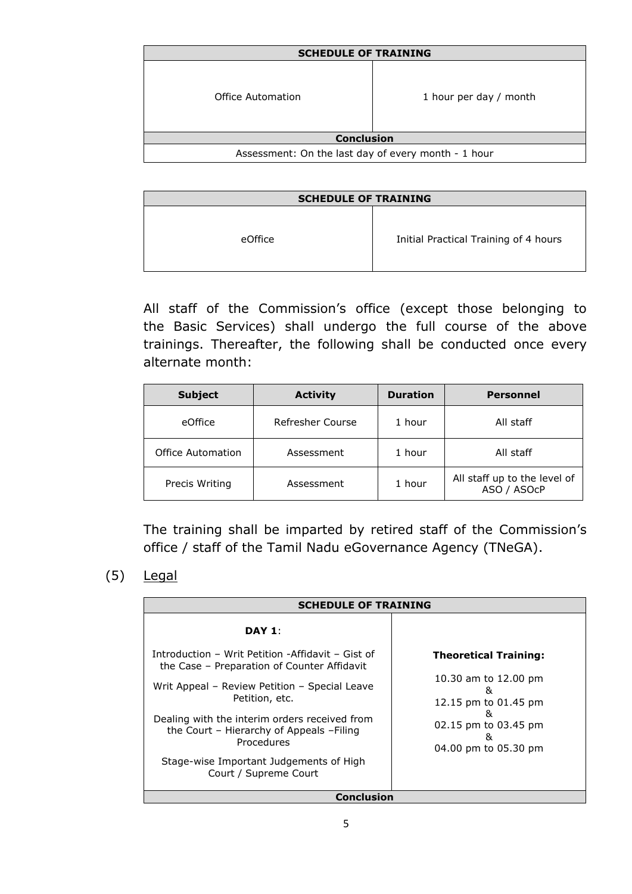| <b>SCHEDULE OF TRAINING</b>                         |                        |
|-----------------------------------------------------|------------------------|
| Office Automation                                   | 1 hour per day / month |
| <b>Conclusion</b>                                   |                        |
| Assessment: On the last day of every month - 1 hour |                        |

| <b>SCHEDULE OF TRAINING</b> |                                       |
|-----------------------------|---------------------------------------|
| eOffice                     | Initial Practical Training of 4 hours |

All staff of the Commission's office (except those belonging to the Basic Services) shall undergo the full course of the above trainings. Thereafter, the following shall be conducted once every alternate month:

| <b>Subject</b>           | <b>Activity</b>  | <b>Duration</b> | Personnel                                   |
|--------------------------|------------------|-----------------|---------------------------------------------|
| eOffice                  | Refresher Course | 1 hour          | All staff                                   |
| <b>Office Automation</b> | Assessment       | 1 hour          | All staff                                   |
| Precis Writing           | Assessment       | 1 hour          | All staff up to the level of<br>ASO / ASOcP |

The training shall be imparted by retired staff of the Commission's office / staff of the Tamil Nadu eGovernance Agency (TNeGA).

<sup>(5)</sup> Legal

| <b>SCHEDULE OF TRAINING</b>                                                                                                                                                                                                                                                                                                                          |                                                                                                                                             |
|------------------------------------------------------------------------------------------------------------------------------------------------------------------------------------------------------------------------------------------------------------------------------------------------------------------------------------------------------|---------------------------------------------------------------------------------------------------------------------------------------------|
| DAY 1:                                                                                                                                                                                                                                                                                                                                               |                                                                                                                                             |
| Introduction - Writ Petition -Affidavit - Gist of<br>the Case - Preparation of Counter Affidavit<br>Writ Appeal - Review Petition - Special Leave<br>Petition, etc.<br>Dealing with the interim orders received from<br>the Court - Hierarchy of Appeals $-Filing$<br>Procedures<br>Stage-wise Important Judgements of High<br>Court / Supreme Court | <b>Theoretical Training:</b><br>10.30 am to 12.00 pm<br>&<br>12.15 pm to 01.45 pm<br>&<br>02.15 pm to 03.45 pm<br>&<br>04.00 pm to 05.30 pm |
| Conclusion                                                                                                                                                                                                                                                                                                                                           |                                                                                                                                             |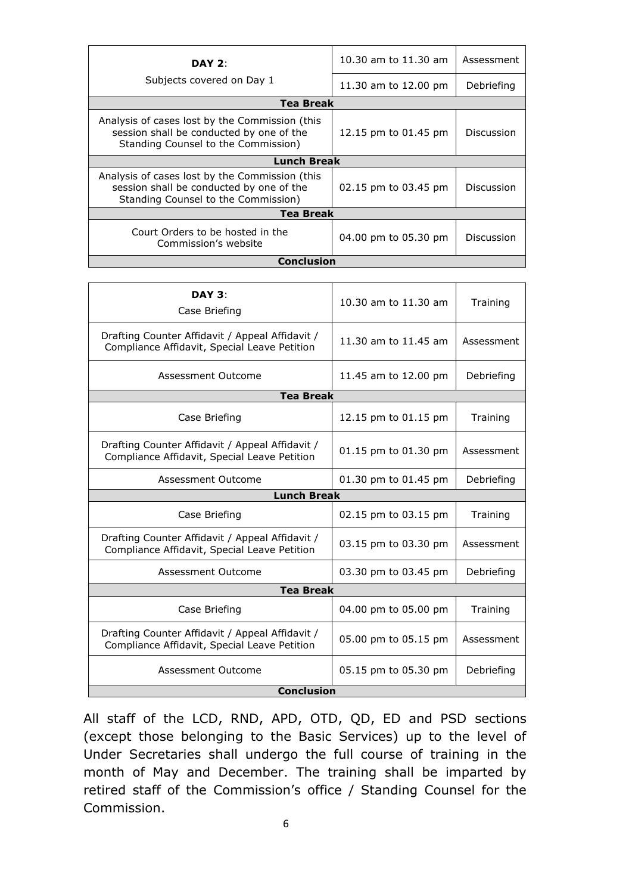| DAY $2:$                                                                                                                          | 10.30 am to 11.30 am | Assessment |
|-----------------------------------------------------------------------------------------------------------------------------------|----------------------|------------|
| Subjects covered on Day 1                                                                                                         | 11.30 am to 12.00 pm | Debriefing |
| Tea Break                                                                                                                         |                      |            |
| Analysis of cases lost by the Commission (this<br>session shall be conducted by one of the<br>Standing Counsel to the Commission) | 12.15 pm to 01.45 pm | Discussion |
| <b>Lunch Break</b>                                                                                                                |                      |            |
| Analysis of cases lost by the Commission (this<br>session shall be conducted by one of the<br>Standing Counsel to the Commission) | 02.15 pm to 03.45 pm | Discussion |
| <b>Tea Break</b>                                                                                                                  |                      |            |
| Court Orders to be hosted in the<br>Commission's website                                                                          | 04.00 pm to 05.30 pm | Discussion |
| Conclusion                                                                                                                        |                      |            |

| DAY 3:<br>Case Briefing                                                                         | 10.30 am to 11.30 am | Training   |
|-------------------------------------------------------------------------------------------------|----------------------|------------|
| Drafting Counter Affidavit / Appeal Affidavit /<br>Compliance Affidavit, Special Leave Petition | 11.30 am to 11.45 am | Assessment |
| Assessment Outcome                                                                              | 11.45 am to 12.00 pm | Debriefing |
| <b>Tea Break</b>                                                                                |                      |            |
| Case Briefing                                                                                   | 12.15 pm to 01.15 pm | Training   |
| Drafting Counter Affidavit / Appeal Affidavit /<br>Compliance Affidavit, Special Leave Petition | 01.15 pm to 01.30 pm | Assessment |
| Assessment Outcome                                                                              | 01.30 pm to 01.45 pm | Debriefing |
| <b>Lunch Break</b>                                                                              |                      |            |
|                                                                                                 |                      |            |
| Case Briefing                                                                                   | 02.15 pm to 03.15 pm | Training   |
| Drafting Counter Affidavit / Appeal Affidavit /<br>Compliance Affidavit, Special Leave Petition | 03.15 pm to 03.30 pm | Assessment |
| Assessment Outcome                                                                              | 03.30 pm to 03.45 pm | Debriefing |
| <b>Tea Break</b>                                                                                |                      |            |
| Case Briefing                                                                                   | 04.00 pm to 05.00 pm | Training   |
| Drafting Counter Affidavit / Appeal Affidavit /<br>Compliance Affidavit, Special Leave Petition | 05.00 pm to 05.15 pm | Assessment |
| Assessment Outcome                                                                              | 05.15 pm to 05.30 pm | Debriefing |

All staff of the LCD, RND, APD, OTD, QD, ED and PSD sections (except those belonging to the Basic Services) up to the level of Under Secretaries shall undergo the full course of training in the month of May and December. The training shall be imparted by retired staff of the Commission's office / Standing Counsel for the Commission.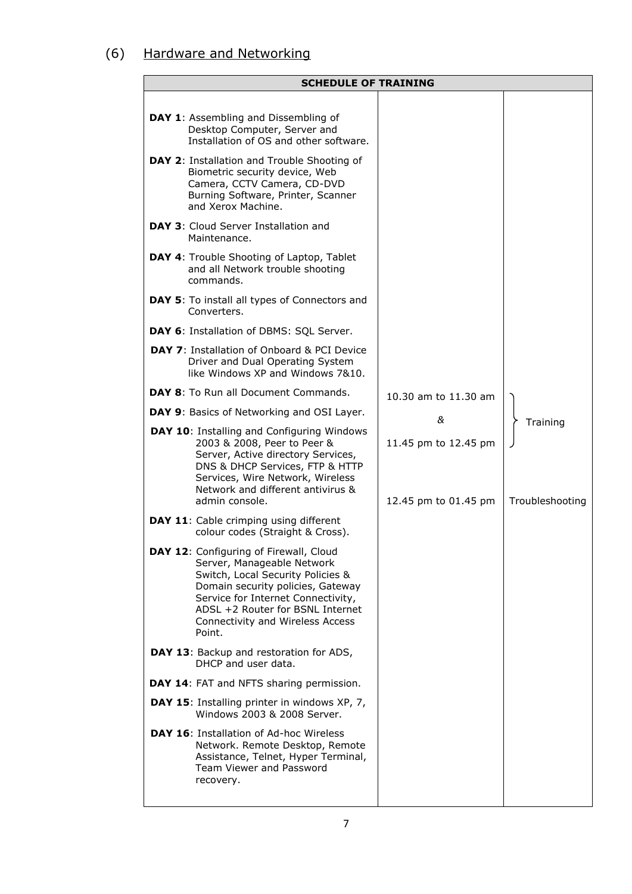## (6) Hardware and Networking

| <b>SCHEDULE OF TRAINING</b>                                                                                                                                                                                                                                                   |                                              |                             |
|-------------------------------------------------------------------------------------------------------------------------------------------------------------------------------------------------------------------------------------------------------------------------------|----------------------------------------------|-----------------------------|
| DAY 1: Assembling and Dissembling of<br>Desktop Computer, Server and<br>Installation of OS and other software.                                                                                                                                                                |                                              |                             |
| DAY 2: Installation and Trouble Shooting of<br>Biometric security device, Web<br>Camera, CCTV Camera, CD-DVD<br>Burning Software, Printer, Scanner<br>and Xerox Machine.                                                                                                      |                                              |                             |
| DAY 3: Cloud Server Installation and<br>Maintenance.                                                                                                                                                                                                                          |                                              |                             |
| <b>DAY 4:</b> Trouble Shooting of Laptop, Tablet<br>and all Network trouble shooting<br>commands.                                                                                                                                                                             |                                              |                             |
| <b>DAY 5:</b> To install all types of Connectors and<br>Converters.                                                                                                                                                                                                           |                                              |                             |
| DAY 6: Installation of DBMS: SQL Server.                                                                                                                                                                                                                                      |                                              |                             |
| <b>DAY 7:</b> Installation of Onboard & PCI Device<br>Driver and Dual Operating System<br>like Windows XP and Windows 7&10.                                                                                                                                                   |                                              |                             |
| <b>DAY 8:</b> To Run all Document Commands.                                                                                                                                                                                                                                   | 10.30 am to 11.30 am                         |                             |
| DAY 9: Basics of Networking and OSI Layer.                                                                                                                                                                                                                                    | &                                            |                             |
| DAY 10: Installing and Configuring Windows<br>2003 & 2008, Peer to Peer &<br>Server, Active directory Services,<br>DNS & DHCP Services, FTP & HTTP<br>Services, Wire Network, Wireless<br>Network and different antivirus &<br>admin console.                                 | 11.45 pm to 12.45 pm<br>12.45 pm to 01.45 pm | Training<br>Troubleshooting |
| <b>DAY 11:</b> Cable crimping using different<br>colour codes (Straight & Cross).                                                                                                                                                                                             |                                              |                             |
| DAY 12: Configuring of Firewall, Cloud<br>Server, Manageable Network<br>Switch, Local Security Policies &<br>Domain security policies, Gateway<br>Service for Internet Connectivity,<br>ADSL +2 Router for BSNL Internet<br><b>Connectivity and Wireless Access</b><br>Point. |                                              |                             |
| DAY 13: Backup and restoration for ADS,<br>DHCP and user data.                                                                                                                                                                                                                |                                              |                             |
| DAY 14: FAT and NFTS sharing permission.                                                                                                                                                                                                                                      |                                              |                             |
| DAY 15: Installing printer in windows XP, 7,<br>Windows 2003 & 2008 Server.                                                                                                                                                                                                   |                                              |                             |
| <b>DAY 16: Installation of Ad-hoc Wireless</b><br>Network. Remote Desktop, Remote<br>Assistance, Telnet, Hyper Terminal,<br>Team Viewer and Password<br>recovery.                                                                                                             |                                              |                             |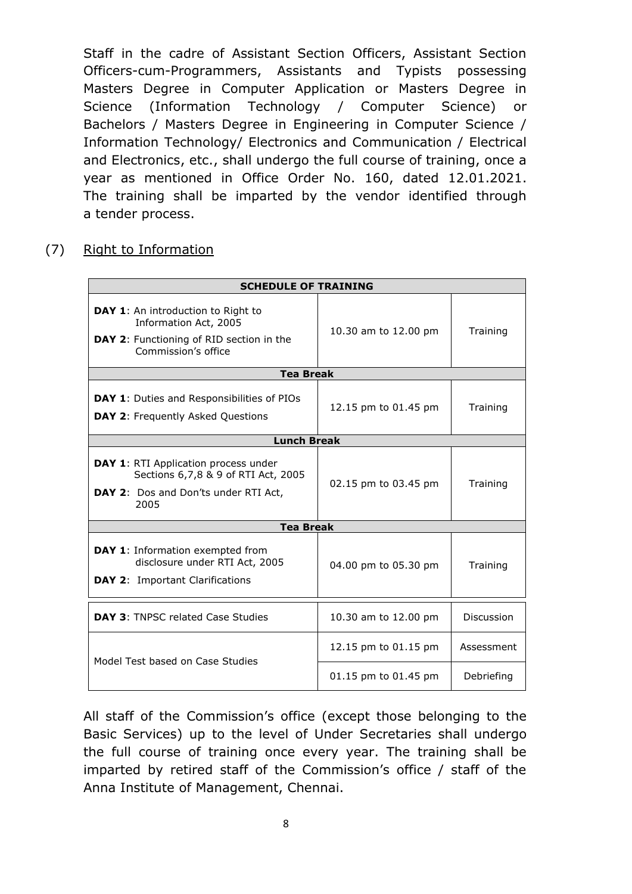Staff in the cadre of Assistant Section Officers, Assistant Section Officers-cum-Programmers, Assistants and Typists possessing Masters Degree in Computer Application or Masters Degree in Science (Information Technology / Computer Science) or Bachelors / Masters Degree in Engineering in Computer Science / Information Technology/ Electronics and Communication / Electrical and Electronics, etc., shall undergo the full course of training, once a year as mentioned in Office Order No. 160, dated 12.01.2021. The training shall be imparted by the vendor identified through a tender process.

(7) Right to Information

| <b>SCHEDULE OF TRAINING</b>                                                                                                           |                      |            |  |  |  |
|---------------------------------------------------------------------------------------------------------------------------------------|----------------------|------------|--|--|--|
| DAY 1: An introduction to Right to<br>Information Act, 2005<br><b>DAY 2:</b> Functioning of RID section in the<br>Commission's office | 10.30 am to 12.00 pm | Training   |  |  |  |
| <b>Tea Break</b>                                                                                                                      |                      |            |  |  |  |
| <b>DAY 1:</b> Duties and Responsibilities of PIOs<br><b>DAY 2:</b> Frequently Asked Questions                                         | 12.15 pm to 01.45 pm | Training   |  |  |  |
| <b>Lunch Break</b>                                                                                                                    |                      |            |  |  |  |
| DAY 1: RTI Application process under<br>Sections 6,7,8 & 9 of RTI Act, 2005<br>DAY 2: Dos and Don'ts under RTI Act,<br>2005           | 02.15 pm to 03.45 pm | Training   |  |  |  |
| <b>Tea Break</b>                                                                                                                      |                      |            |  |  |  |
| DAY 1: Information exempted from<br>disclosure under RTI Act, 2005<br><b>DAY 2: Important Clarifications</b>                          | 04.00 pm to 05.30 pm | Training   |  |  |  |
| <b>DAY 3: TNPSC related Case Studies</b>                                                                                              | 10.30 am to 12.00 pm | Discussion |  |  |  |
| Model Test based on Case Studies                                                                                                      | 12.15 pm to 01.15 pm | Assessment |  |  |  |
|                                                                                                                                       | 01.15 pm to 01.45 pm | Debriefing |  |  |  |

All staff of the Commission's office (except those belonging to the Basic Services) up to the level of Under Secretaries shall undergo the full course of training once every year. The training shall be imparted by retired staff of the Commission's office / staff of the Anna Institute of Management, Chennai.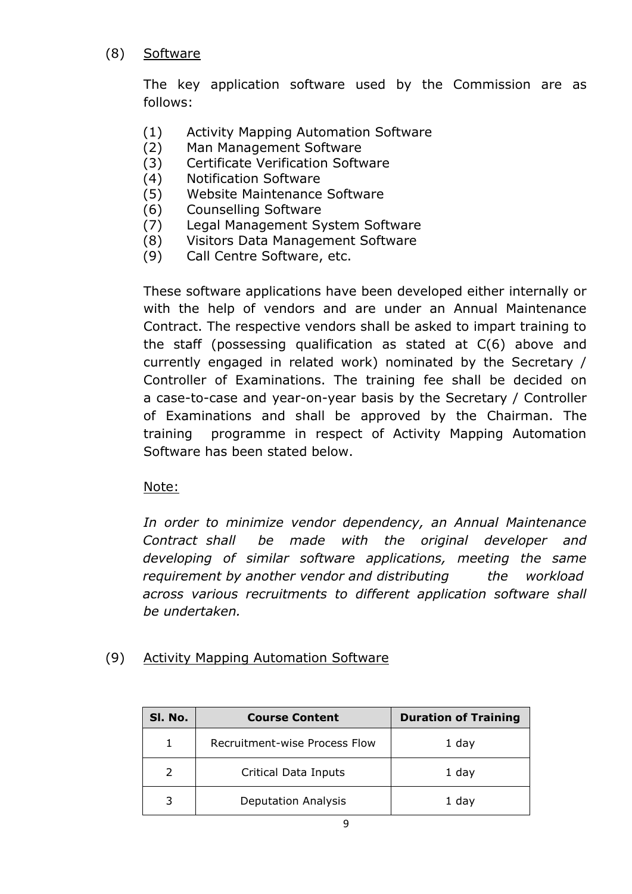#### (8) Software

The key application software used by the Commission are as follows:

- (1) Activity Mapping Automation Software
- (2) Man Management Software
- (3) Certificate Verification Software
- (4) Notification Software
- (5) Website Maintenance Software
- (6) Counselling Software
- (7) Legal Management System Software
- (8) Visitors Data Management Software
- (9) Call Centre Software, etc.

These software applications have been developed either internally or with the help of vendors and are under an Annual Maintenance Contract. The respective vendors shall be asked to impart training to the staff (possessing qualification as stated at C(6) above and currently engaged in related work) nominated by the Secretary / Controller of Examinations. The training fee shall be decided on a case-to-case and year-on-year basis by the Secretary / Controller of Examinations and shall be approved by the Chairman. The training programme in respect of Activity Mapping Automation Software has been stated below.

Note:

*In order to minimize vendor dependency, an Annual Maintenance Contract shall be made with the original developer and developing of similar software applications, meeting the same requirement by another vendor and distributing the workload across various recruitments to different application software shall be undertaken.*

#### (9) Activity Mapping Automation Software

| SI. No. | <b>Course Content</b>         | <b>Duration of Training</b> |
|---------|-------------------------------|-----------------------------|
|         | Recruitment-wise Process Flow | 1 day                       |
|         | Critical Data Inputs          | 1 day                       |
|         | <b>Deputation Analysis</b>    | 1 day                       |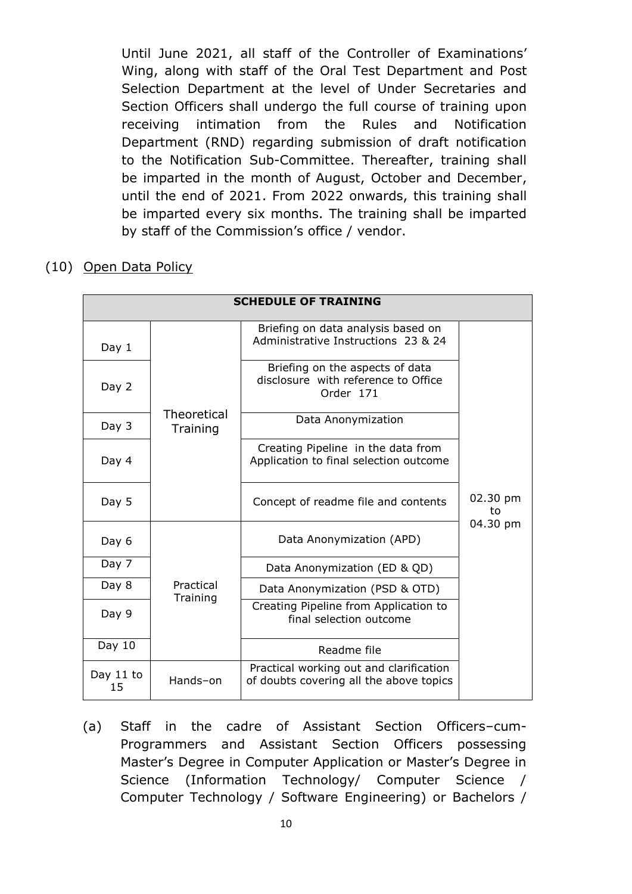Until June 2021, all staff of the Controller of Examinations' Wing, along with staff of the Oral Test Department and Post Selection Department at the level of Under Secretaries and Section Officers shall undergo the full course of training upon receiving intimation from the Rules and Notification Department (RND) regarding submission of draft notification to the Notification Sub-Committee. Thereafter, training shall be imparted in the month of August, October and December, until the end of 2021. From 2022 onwards, this training shall be imparted every six months. The training shall be imparted by staff of the Commission's office / vendor.

(10) Open Data Policy

|                 | <b>SCHEDULE OF TRAINING</b> |                                                                                     |                |  |  |
|-----------------|-----------------------------|-------------------------------------------------------------------------------------|----------------|--|--|
| Day 1           |                             | Briefing on data analysis based on<br>Administrative Instructions 23 & 24           |                |  |  |
| Day 2           |                             | Briefing on the aspects of data<br>disclosure with reference to Office<br>Order 171 |                |  |  |
| Day 3           | Theoretical<br>Training     | Data Anonymization                                                                  |                |  |  |
| Day 4           |                             | Creating Pipeline in the data from<br>Application to final selection outcome        |                |  |  |
| Day 5           |                             | Concept of readme file and contents                                                 | 02.30 pm<br>to |  |  |
| Day 6           |                             | Data Anonymization (APD)                                                            | 04.30 pm       |  |  |
| Day 7           |                             | Data Anonymization (ED & QD)                                                        |                |  |  |
| Day 8           | Practical<br>Training       | Data Anonymization (PSD & OTD)                                                      |                |  |  |
| Day 9           |                             | Creating Pipeline from Application to<br>final selection outcome                    |                |  |  |
| Day 10          |                             | Readme file                                                                         |                |  |  |
| Day 11 to<br>15 | Hands-on                    | Practical working out and clarification<br>of doubts covering all the above topics  |                |  |  |

(a) Staff in the cadre of Assistant Section Officers–cum-Programmers and Assistant Section Officers possessing Master's Degree in Computer Application or Master's Degree in Science (Information Technology/ Computer Science / Computer Technology / Software Engineering) or Bachelors /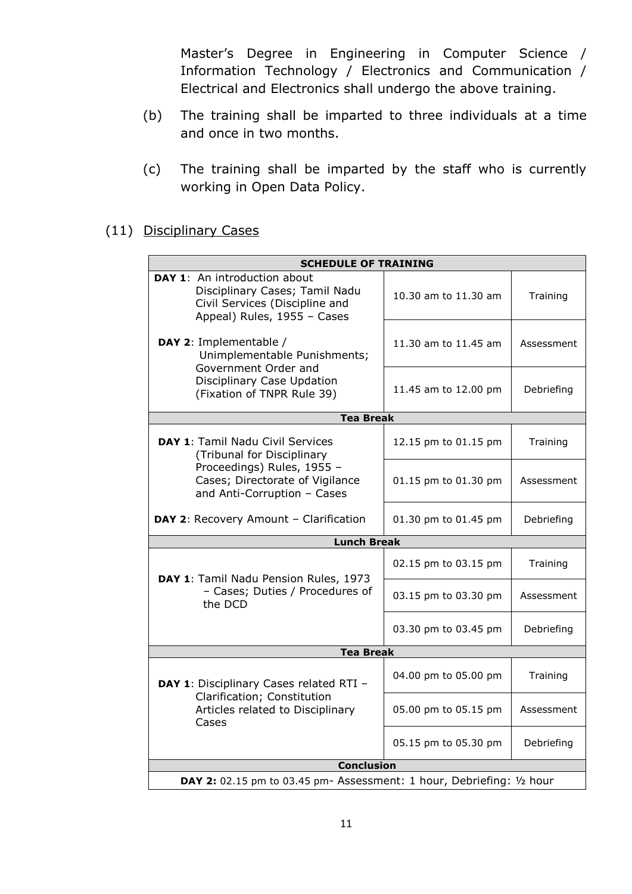Master's Degree in Engineering in Computer Science / Information Technology / Electronics and Communication / Electrical and Electronics shall undergo the above training.

- (b) The training shall be imparted to three individuals at a time and once in two months.
- (c) The training shall be imparted by the staff who is currently working in Open Data Policy.

#### (11) Disciplinary Cases

| <b>SCHEDULE OF TRAINING</b>                                                                                                     |                      |            |  |  |  |
|---------------------------------------------------------------------------------------------------------------------------------|----------------------|------------|--|--|--|
| DAY 1: An introduction about<br>Disciplinary Cases; Tamil Nadu<br>Civil Services (Discipline and<br>Appeal) Rules, 1955 - Cases | 10.30 am to 11.30 am | Training   |  |  |  |
| DAY 2: Implementable /<br>Unimplementable Punishments;<br>Government Order and                                                  | 11.30 am to 11.45 am | Assessment |  |  |  |
| Disciplinary Case Updation<br>(Fixation of TNPR Rule 39)                                                                        | 11.45 am to 12.00 pm | Debriefing |  |  |  |
| <b>Tea Break</b>                                                                                                                |                      |            |  |  |  |
| DAY 1: Tamil Nadu Civil Services<br>(Tribunal for Disciplinary                                                                  | 12.15 pm to 01.15 pm | Training   |  |  |  |
| Proceedings) Rules, 1955 -<br>Cases; Directorate of Vigilance<br>and Anti-Corruption - Cases                                    | 01.15 pm to 01.30 pm | Assessment |  |  |  |
| DAY 2: Recovery Amount - Clarification                                                                                          | 01.30 pm to 01.45 pm | Debriefing |  |  |  |
| <b>Lunch Break</b>                                                                                                              |                      |            |  |  |  |
| DAY 1: Tamil Nadu Pension Rules, 1973                                                                                           | 02.15 pm to 03.15 pm | Training   |  |  |  |
| - Cases; Duties / Procedures of<br>the DCD                                                                                      | 03.15 pm to 03.30 pm | Assessment |  |  |  |
|                                                                                                                                 | 03.30 pm to 03.45 pm | Debriefing |  |  |  |
| <b>Tea Break</b>                                                                                                                |                      |            |  |  |  |
| DAY 1: Disciplinary Cases related RTI -                                                                                         | 04.00 pm to 05.00 pm | Training   |  |  |  |
| Clarification; Constitution<br>Articles related to Disciplinary<br>Cases                                                        | 05.00 pm to 05.15 pm | Assessment |  |  |  |
|                                                                                                                                 | 05.15 pm to 05.30 pm | Debriefing |  |  |  |
| <b>Conclusion</b>                                                                                                               |                      |            |  |  |  |
| DAY 2: 02.15 pm to 03.45 pm- Assessment: 1 hour, Debriefing: 1/2 hour                                                           |                      |            |  |  |  |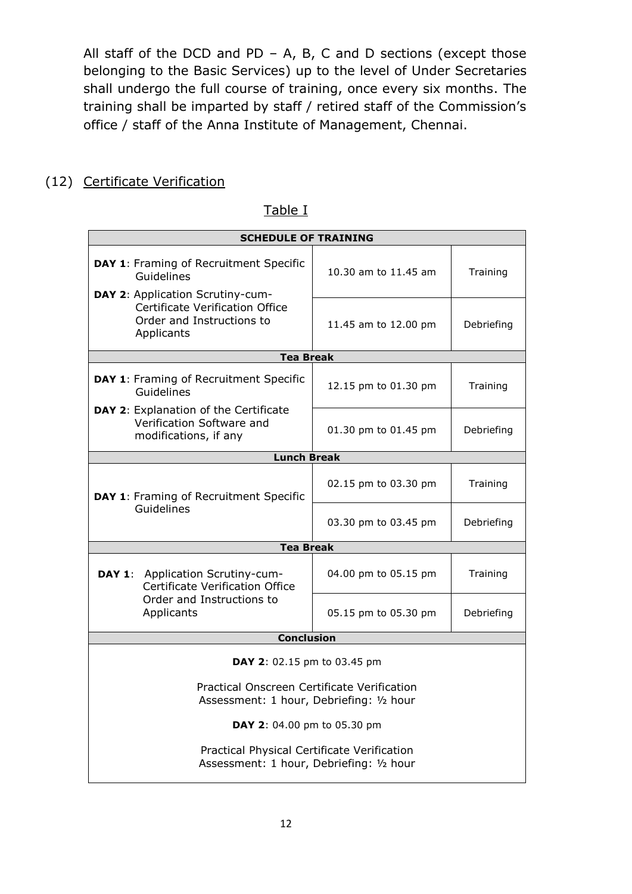All staff of the DCD and PD – A, B, C and D sections (except those belonging to the Basic Services) up to the level of Under Secretaries shall undergo the full course of training, once every six months. The training shall be imparted by staff / retired staff of the Commission's office / staff of the Anna Institute of Management, Chennai.

## (12) Certificate Verification

| <b>SCHEDULE OF TRAINING</b>                                                                                    |                                    |            |  |  |  |
|----------------------------------------------------------------------------------------------------------------|------------------------------------|------------|--|--|--|
| DAY 1: Framing of Recruitment Specific<br>Guidelines                                                           | 10.30 am to 11.45 am               | Training   |  |  |  |
| DAY 2: Application Scrutiny-cum-<br>Certificate Verification Office<br>Order and Instructions to<br>Applicants | 11.45 am to 12.00 pm               | Debriefing |  |  |  |
| <b>Tea Break</b>                                                                                               |                                    |            |  |  |  |
| DAY 1: Framing of Recruitment Specific<br>Guidelines                                                           | 12.15 pm to 01.30 pm               | Training   |  |  |  |
| DAY 2: Explanation of the Certificate<br>Verification Software and<br>modifications, if any                    | 01.30 pm to 01.45 pm<br>Debriefing |            |  |  |  |
| <b>Lunch Break</b>                                                                                             |                                    |            |  |  |  |
| DAY 1: Framing of Recruitment Specific                                                                         | 02.15 pm to 03.30 pm               | Training   |  |  |  |
| Guidelines                                                                                                     | 03.30 pm to 03.45 pm               | Debriefing |  |  |  |
| <b>Tea Break</b>                                                                                               |                                    |            |  |  |  |
| Application Scrutiny-cum-<br>DAY 1:<br>Certificate Verification Office                                         | 04.00 pm to 05.15 pm               | Training   |  |  |  |
| Order and Instructions to<br>Applicants                                                                        | 05.15 pm to 05.30 pm               | Debriefing |  |  |  |
| <b>Conclusion</b>                                                                                              |                                    |            |  |  |  |
| <b>DAY 2:</b> 02.15 pm to 03.45 pm                                                                             |                                    |            |  |  |  |
| Practical Onscreen Certificate Verification<br>Assessment: 1 hour, Debriefing: 1/2 hour                        |                                    |            |  |  |  |
| DAY 2: 04.00 pm to 05.30 pm                                                                                    |                                    |            |  |  |  |
| Practical Physical Certificate Verification<br>Assessment: 1 hour, Debriefing: 1/2 hour                        |                                    |            |  |  |  |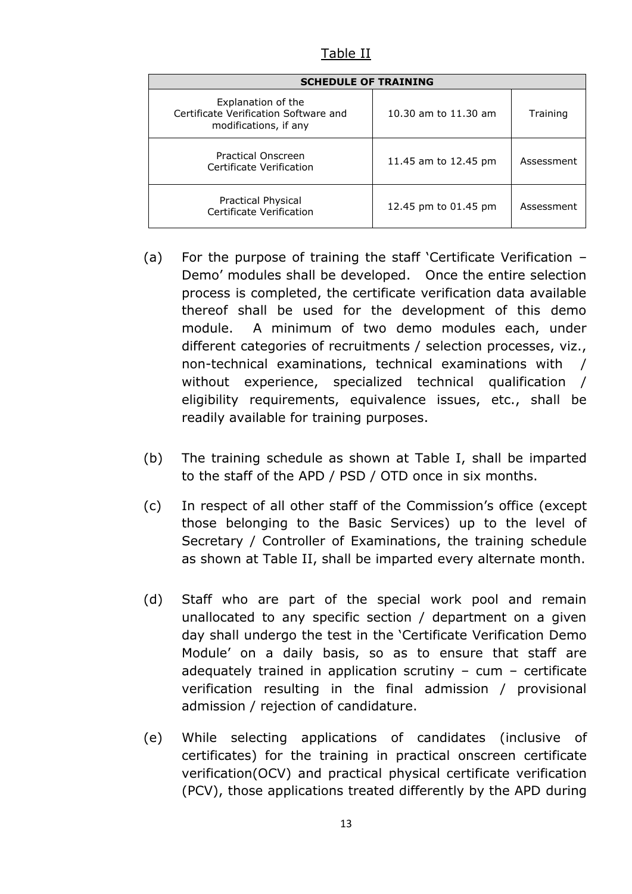Table II

| <b>SCHEDULE OF TRAINING</b>                                                          |                      |            |  |  |  |  |
|--------------------------------------------------------------------------------------|----------------------|------------|--|--|--|--|
| Explanation of the<br>Certificate Verification Software and<br>modifications, if any | 10.30 am to 11.30 am | Training   |  |  |  |  |
| Practical Onscreen<br>Certificate Verification                                       | 11.45 am to 12.45 pm | Assessment |  |  |  |  |
| Practical Physical<br>Certificate Verification                                       | 12.45 pm to 01.45 pm | Assessment |  |  |  |  |

- (a) For the purpose of training the staff 'Certificate Verification Demo' modules shall be developed. Once the entire selection process is completed, the certificate verification data available thereof shall be used for the development of this demo module. A minimum of two demo modules each, under different categories of recruitments / selection processes, viz., non-technical examinations, technical examinations with / without experience, specialized technical qualification / eligibility requirements, equivalence issues, etc., shall be readily available for training purposes.
- (b) The training schedule as shown at Table I, shall be imparted to the staff of the APD / PSD / OTD once in six months.
- (c) In respect of all other staff of the Commission's office (except those belonging to the Basic Services) up to the level of Secretary / Controller of Examinations, the training schedule as shown at Table II, shall be imparted every alternate month.
- (d) Staff who are part of the special work pool and remain unallocated to any specific section / department on a given day shall undergo the test in the 'Certificate Verification Demo Module' on a daily basis, so as to ensure that staff are adequately trained in application scrutiny  $-$  cum  $-$  certificate verification resulting in the final admission / provisional admission / rejection of candidature.
- (e) While selecting applications of candidates (inclusive of certificates) for the training in practical onscreen certificate verification(OCV) and practical physical certificate verification (PCV), those applications treated differently by the APD during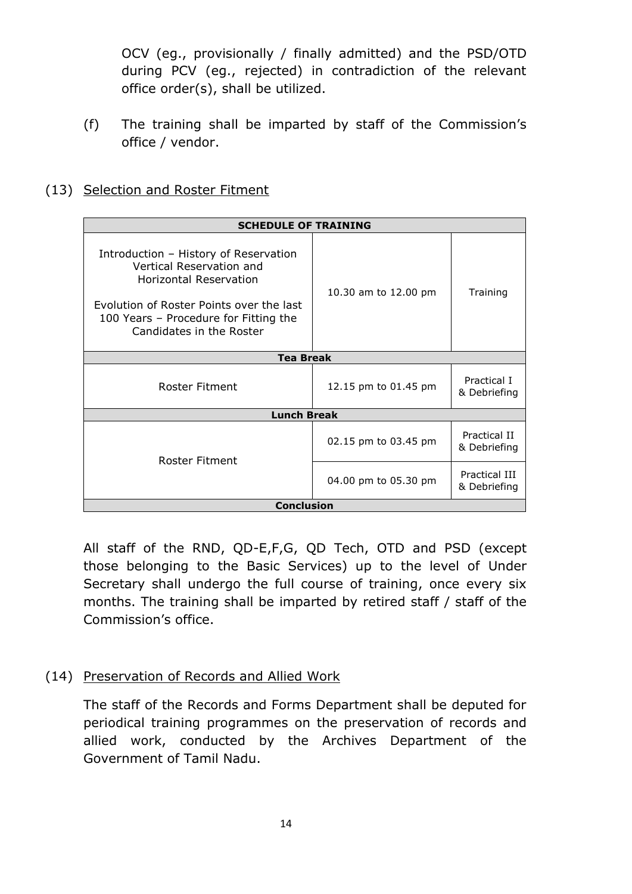OCV (eg., provisionally / finally admitted) and the PSD/OTD during PCV (eg., rejected) in contradiction of the relevant office order(s), shall be utilized.

- (f) The training shall be imparted by staff of the Commission's office / vendor.
- (13) Selection and Roster Fitment

|                                                                                                                                                                                                                     | <b>SCHEDULE OF TRAINING</b> |                               |  |  |  |  |
|---------------------------------------------------------------------------------------------------------------------------------------------------------------------------------------------------------------------|-----------------------------|-------------------------------|--|--|--|--|
| Introduction - History of Reservation<br>Vertical Reservation and<br><b>Horizontal Reservation</b><br>Evolution of Roster Points over the last<br>100 Years - Procedure for Fitting the<br>Candidates in the Roster | 10.30 am to 12.00 pm        | Training                      |  |  |  |  |
| <b>Tea Break</b>                                                                                                                                                                                                    |                             |                               |  |  |  |  |
| Roster Fitment                                                                                                                                                                                                      | 12.15 pm to 01.45 pm        | Practical I<br>& Debriefing   |  |  |  |  |
| <b>Lunch Break</b>                                                                                                                                                                                                  |                             |                               |  |  |  |  |
| Roster Fitment                                                                                                                                                                                                      | 02.15 pm to 03.45 pm        | Practical II<br>& Debriefing  |  |  |  |  |
|                                                                                                                                                                                                                     | 04.00 pm to 05.30 pm        | Practical III<br>& Debriefing |  |  |  |  |
| <b>Conclusion</b>                                                                                                                                                                                                   |                             |                               |  |  |  |  |

All staff of the RND, QD-E,F,G, QD Tech, OTD and PSD (except those belonging to the Basic Services) up to the level of Under Secretary shall undergo the full course of training, once every six months. The training shall be imparted by retired staff / staff of the Commission's office.

(14) Preservation of Records and Allied Work

The staff of the Records and Forms Department shall be deputed for periodical training programmes on the preservation of records and allied work, conducted by the Archives Department of the Government of Tamil Nadu.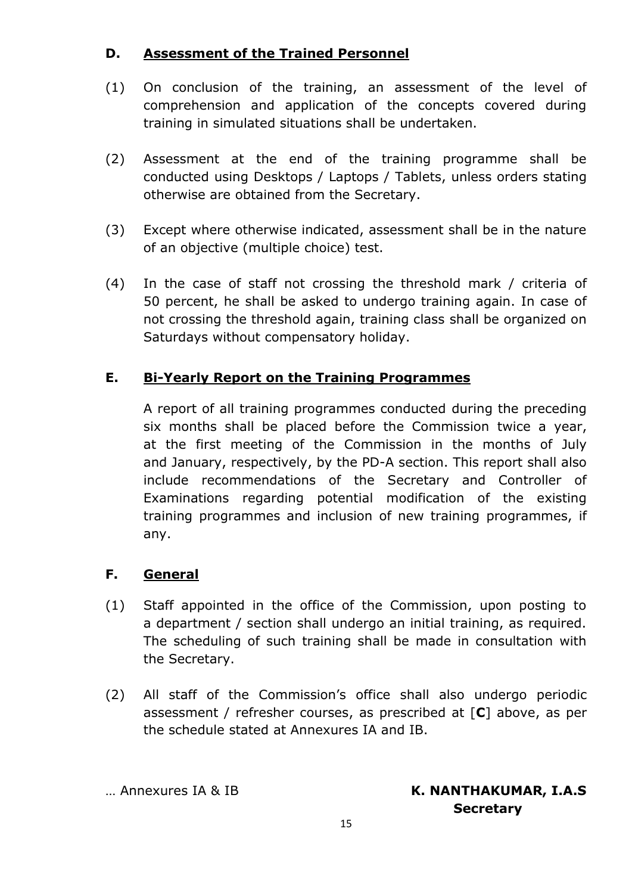## **D. Assessment of the Trained Personnel**

- (1) On conclusion of the training, an assessment of the level of comprehension and application of the concepts covered during training in simulated situations shall be undertaken.
- (2) Assessment at the end of the training programme shall be conducted using Desktops / Laptops / Tablets, unless orders stating otherwise are obtained from the Secretary.
- (3) Except where otherwise indicated, assessment shall be in the nature of an objective (multiple choice) test.
- (4) In the case of staff not crossing the threshold mark / criteria of 50 percent, he shall be asked to undergo training again. In case of not crossing the threshold again, training class shall be organized on Saturdays without compensatory holiday.

## **E. Bi-Yearly Report on the Training Programmes**

A report of all training programmes conducted during the preceding six months shall be placed before the Commission twice a year, at the first meeting of the Commission in the months of July and January, respectively, by the PD-A section. This report shall also include recommendations of the Secretary and Controller of Examinations regarding potential modification of the existing training programmes and inclusion of new training programmes, if any.

#### **F. General**

- (1) Staff appointed in the office of the Commission, upon posting to a department / section shall undergo an initial training, as required. The scheduling of such training shall be made in consultation with the Secretary.
- (2) All staff of the Commission's office shall also undergo periodic assessment / refresher courses, as prescribed at [**C**] above, as per the schedule stated at Annexures IA and IB.

#### … Annexures IA & IB **K. NANTHAKUMAR, I.A.S Secretary**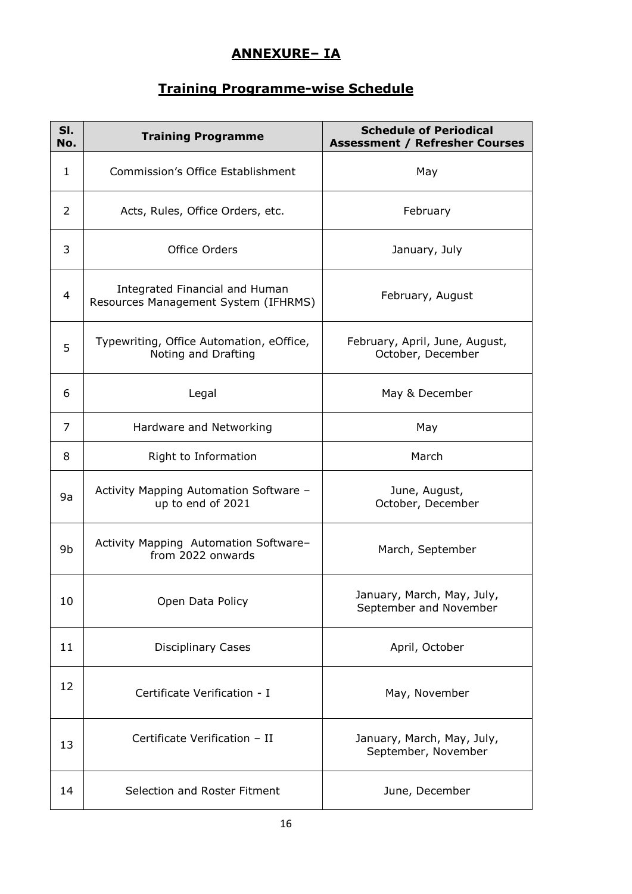## **ANNEXURE– IA**

# **Training Programme-wise Schedule**

| SI.<br>No.     | <b>Training Programme</b>                                              | <b>Schedule of Periodical</b><br><b>Assessment / Refresher Courses</b> |
|----------------|------------------------------------------------------------------------|------------------------------------------------------------------------|
| $\mathbf{1}$   | <b>Commission's Office Establishment</b>                               | May                                                                    |
| $\overline{2}$ | Acts, Rules, Office Orders, etc.                                       | February                                                               |
| 3              | Office Orders                                                          | January, July                                                          |
| 4              | Integrated Financial and Human<br>Resources Management System (IFHRMS) | February, August                                                       |
| 5              | Typewriting, Office Automation, eOffice,<br>Noting and Drafting        | February, April, June, August,<br>October, December                    |
| 6              | Legal                                                                  | May & December                                                         |
| 7              | Hardware and Networking                                                | May                                                                    |
| 8              | Right to Information                                                   | March                                                                  |
| 9a             | Activity Mapping Automation Software -<br>up to end of 2021            | June, August,<br>October, December                                     |
| 9b             | Activity Mapping Automation Software-<br>from 2022 onwards             | March, September                                                       |
| 10             | Open Data Policy                                                       | January, March, May, July,<br>September and November                   |
| 11             | <b>Disciplinary Cases</b>                                              | April, October                                                         |
| 12             | Certificate Verification - I                                           | May, November                                                          |
| 13             | Certificate Verification - II                                          | January, March, May, July,<br>September, November                      |
| 14             | Selection and Roster Fitment                                           | June, December                                                         |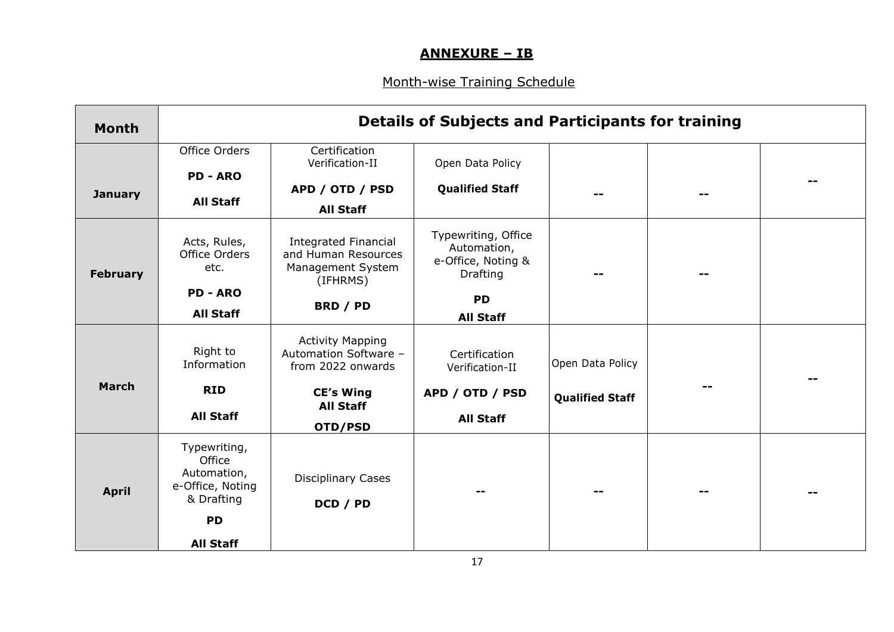## **ANNEXURE – IB**

## Month-wise Training Schedule

| <b>Month</b>    | <b>Details of Subjects and Participants for training</b>                |                                                                                     |                                                                      |                        |  |
|-----------------|-------------------------------------------------------------------------|-------------------------------------------------------------------------------------|----------------------------------------------------------------------|------------------------|--|
|                 | Office Orders<br><b>PD - ARO</b>                                        | Certification<br>Verification-II                                                    | Open Data Policy                                                     |                        |  |
| <b>January</b>  | <b>All Staff</b>                                                        | APD / OTD / PSD                                                                     | <b>Qualified Staff</b>                                               |                        |  |
|                 |                                                                         | <b>All Staff</b>                                                                    |                                                                      |                        |  |
| <b>February</b> | Acts, Rules,<br>Office Orders<br>etc.                                   | <b>Integrated Financial</b><br>and Human Resources<br>Management System<br>(IFHRMS) | Typewriting, Office<br>Automation,<br>e-Office, Noting &<br>Drafting |                        |  |
|                 | <b>PD - ARO</b>                                                         |                                                                                     | <b>PD</b>                                                            |                        |  |
|                 | <b>All Staff</b>                                                        | BRD / PD                                                                            | <b>All Staff</b>                                                     |                        |  |
|                 | Right to<br>Information                                                 | <b>Activity Mapping</b><br>Automation Software -<br>from 2022 onwards               | Certification<br>Verification-II                                     | Open Data Policy       |  |
| <b>March</b>    | <b>RID</b>                                                              | <b>CE's Wing</b>                                                                    | APD / OTD / PSD                                                      | <b>Qualified Staff</b> |  |
|                 | <b>All Staff</b>                                                        | <b>All Staff</b><br>OTD/PSD                                                         | <b>All Staff</b>                                                     |                        |  |
| <b>April</b>    | Typewriting,<br>Office<br>Automation,<br>e-Office, Noting<br>& Drafting | <b>Disciplinary Cases</b><br>DCD / PD                                               |                                                                      |                        |  |
|                 | <b>PD</b>                                                               |                                                                                     |                                                                      |                        |  |
|                 | <b>All Staff</b>                                                        |                                                                                     |                                                                      |                        |  |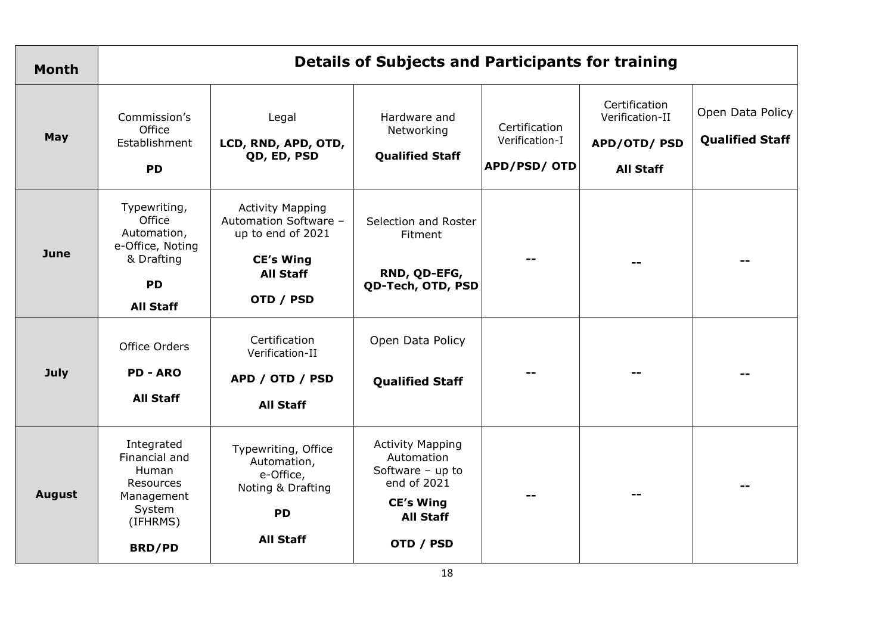| <b>Month</b>  | <b>Details of Subjects and Participants for training</b>                                                 |                                                                                                                            |                                                                                                                                 |                                                       |                                                                     |                                            |
|---------------|----------------------------------------------------------------------------------------------------------|----------------------------------------------------------------------------------------------------------------------------|---------------------------------------------------------------------------------------------------------------------------------|-------------------------------------------------------|---------------------------------------------------------------------|--------------------------------------------|
| May           | Commission's<br>Office<br>Establishment<br><b>PD</b>                                                     | Legal<br>LCD, RND, APD, OTD,<br>QD, ED, PSD                                                                                | Hardware and<br>Networking<br><b>Qualified Staff</b>                                                                            | Certification<br>Verification-I<br><b>APD/PSD/OTD</b> | Certification<br>Verification-II<br>APD/OTD/PSD<br><b>All Staff</b> | Open Data Policy<br><b>Qualified Staff</b> |
| <b>June</b>   | Typewriting,<br>Office<br>Automation,<br>e-Office, Noting<br>& Drafting<br><b>PD</b><br><b>All Staff</b> | <b>Activity Mapping</b><br>Automation Software -<br>up to end of 2021<br><b>CE's Wing</b><br><b>All Staff</b><br>OTD / PSD | Selection and Roster<br>Fitment<br>RND, QD-EFG,<br>QD-Tech, OTD, PSD                                                            |                                                       |                                                                     |                                            |
| July          | Office Orders<br><b>PD - ARO</b><br><b>All Staff</b>                                                     | Certification<br>Verification-II<br>APD / OTD / PSD<br><b>All Staff</b>                                                    | Open Data Policy<br><b>Qualified Staff</b>                                                                                      |                                                       |                                                                     |                                            |
| <b>August</b> | Integrated<br>Financial and<br>Human<br>Resources<br>Management<br>System<br>(IFHRMS)<br><b>BRD/PD</b>   | Typewriting, Office<br>Automation,<br>e-Office,<br>Noting & Drafting<br><b>PD</b><br><b>All Staff</b>                      | <b>Activity Mapping</b><br>Automation<br>Software $-$ up to<br>end of 2021<br><b>CE's Wing</b><br><b>All Staff</b><br>OTD / PSD |                                                       |                                                                     |                                            |